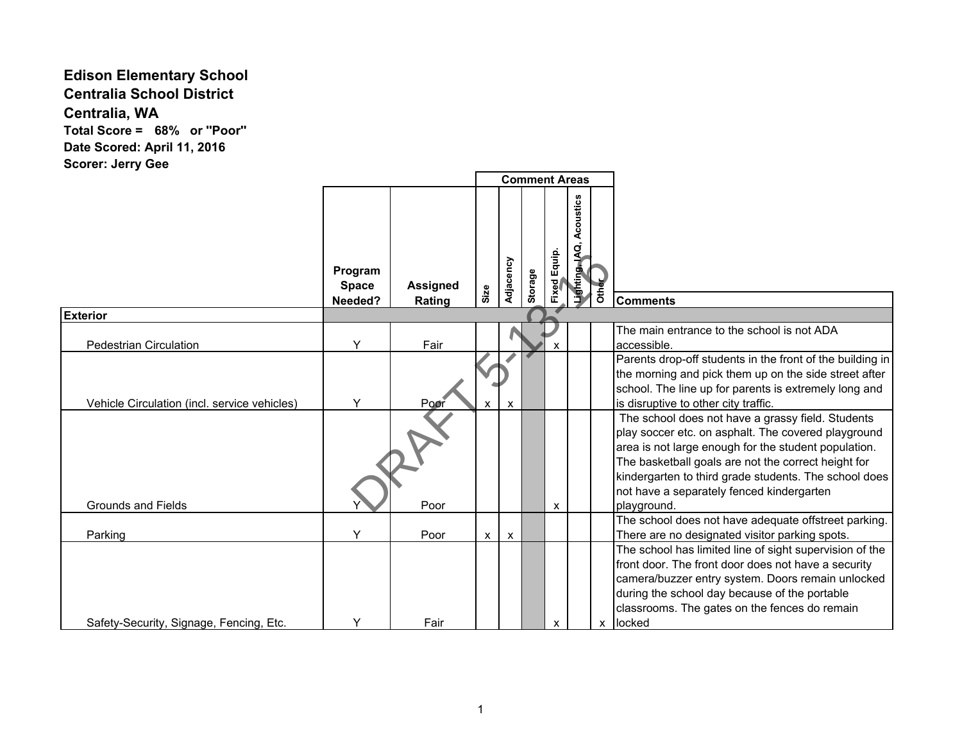## **Edison Elementary School Centralia School District Centralia, WA Total Score = 68% or ''Poor'' Date Scored: April 11, 2016**

**Scorer: Jerry Gee**

|                                              |                                    |                           | <b>Comment Areas</b> |                           |         |              |                             |              |                                                                                                                                                                                                                                                                                                                                              |
|----------------------------------------------|------------------------------------|---------------------------|----------------------|---------------------------|---------|--------------|-----------------------------|--------------|----------------------------------------------------------------------------------------------------------------------------------------------------------------------------------------------------------------------------------------------------------------------------------------------------------------------------------------------|
|                                              | Program<br><b>Space</b><br>Needed? | <b>Assigned</b><br>Rating | Size                 | Adjacency                 | Storage | Fixed Equip. | Acoustics<br>Lighting, IAQ, | <b>Other</b> | <b>Comments</b>                                                                                                                                                                                                                                                                                                                              |
| <b>Exterior</b>                              |                                    |                           |                      |                           |         |              |                             |              |                                                                                                                                                                                                                                                                                                                                              |
| <b>Pedestrian Circulation</b>                | Y                                  | Fair                      |                      |                           |         | X            |                             |              | The main entrance to the school is not ADA<br>accessible.                                                                                                                                                                                                                                                                                    |
| Vehicle Circulation (incl. service vehicles) | Y                                  | Poor                      | x                    | $\boldsymbol{\mathsf{x}}$ |         |              |                             |              | Parents drop-off students in the front of the building in<br>the morning and pick them up on the side street after<br>school. The line up for parents is extremely long and<br>is disruptive to other city traffic.                                                                                                                          |
| <b>Grounds and Fields</b>                    |                                    | Poor                      |                      |                           |         | X            |                             |              | The school does not have a grassy field. Students<br>play soccer etc. on asphalt. The covered playground<br>area is not large enough for the student population.<br>The basketball goals are not the correct height for<br>kindergarten to third grade students. The school does<br>not have a separately fenced kindergarten<br>playground. |
|                                              |                                    |                           |                      |                           |         |              |                             |              | The school does not have adequate offstreet parking.                                                                                                                                                                                                                                                                                         |
| Parking                                      | Y                                  | Poor                      | x                    | $\mathsf{x}$              |         |              |                             |              | There are no designated visitor parking spots.                                                                                                                                                                                                                                                                                               |
| Safety-Security, Signage, Fencing, Etc.      | Y                                  | Fair                      |                      |                           |         | X            |                             | X            | The school has limited line of sight supervision of the<br>front door. The front door does not have a security<br>camera/buzzer entry system. Doors remain unlocked<br>during the school day because of the portable<br>classrooms. The gates on the fences do remain<br>locked                                                              |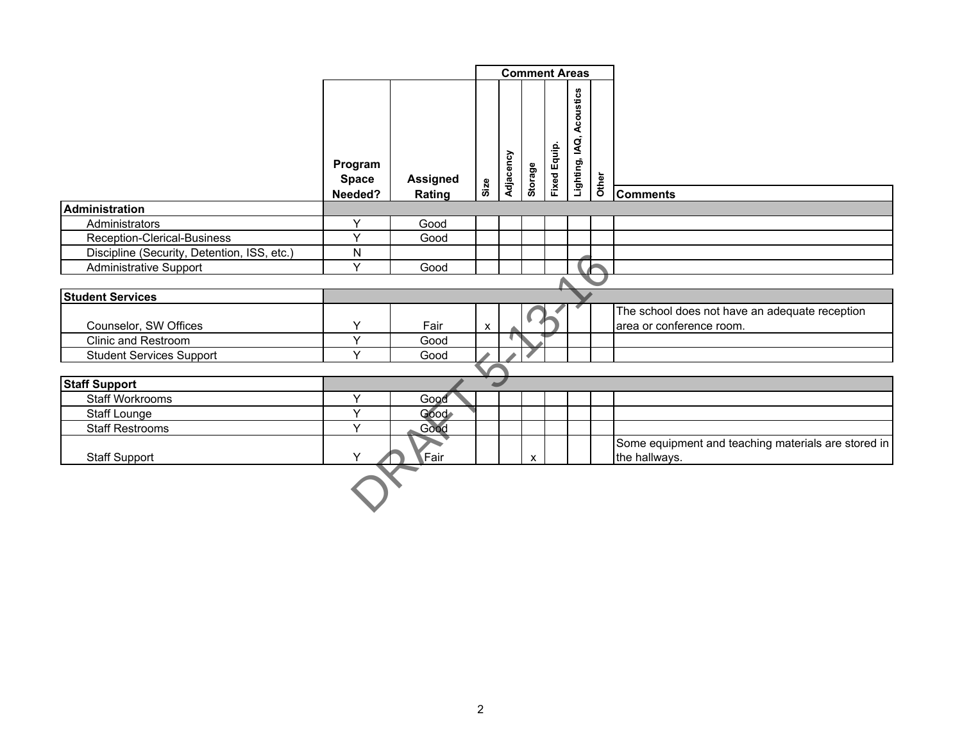|                                             |                                    |                           | <b>Comment Areas</b> |           |         |              |                             |       |                                                                            |
|---------------------------------------------|------------------------------------|---------------------------|----------------------|-----------|---------|--------------|-----------------------------|-------|----------------------------------------------------------------------------|
|                                             | Program<br><b>Space</b><br>Needed? | <b>Assigned</b><br>Rating | Size                 | Adjacency | Storage | Fixed Equip. | Acoustics<br>Lighting, IAQ, | Other | <b>Comments</b>                                                            |
| Administration                              |                                    |                           |                      |           |         |              |                             |       |                                                                            |
| Administrators                              | Y                                  | Good                      |                      |           |         |              |                             |       |                                                                            |
| Reception-Clerical-Business                 | Y                                  | Good                      |                      |           |         |              |                             |       |                                                                            |
| Discipline (Security, Detention, ISS, etc.) | N                                  |                           |                      |           |         |              |                             |       |                                                                            |
| <b>Administrative Support</b>               | Y                                  | Good                      |                      |           |         |              |                             |       |                                                                            |
|                                             |                                    |                           |                      |           |         |              |                             |       |                                                                            |
| <b>Student Services</b>                     |                                    |                           |                      |           |         |              |                             |       |                                                                            |
| Counselor, SW Offices                       | Υ                                  | Fair                      | $\pmb{\mathsf{X}}$   |           |         |              |                             |       | The school does not have an adequate reception<br>area or conference room. |
| <b>Clinic and Restroom</b>                  | Y<br>$\vee$                        | Good                      |                      |           |         |              |                             |       |                                                                            |
| <b>Student Services Support</b>             |                                    | Good                      |                      |           |         |              |                             |       |                                                                            |
| <b>Staff Support</b>                        |                                    |                           |                      |           |         |              |                             |       |                                                                            |
| <b>Staff Workrooms</b>                      | Y                                  | Good                      |                      |           |         |              |                             |       |                                                                            |
| <b>Staff Lounge</b>                         | Y                                  | Good                      |                      |           |         |              |                             |       |                                                                            |
| <b>Staff Restrooms</b>                      | Y                                  | Good                      |                      |           |         |              |                             |       |                                                                            |
| <b>Staff Support</b>                        | Y                                  | Fair                      |                      |           | X       |              |                             |       | Some equipment and teaching materials are stored in<br>the hallways.       |
|                                             |                                    |                           |                      |           |         |              |                             |       |                                                                            |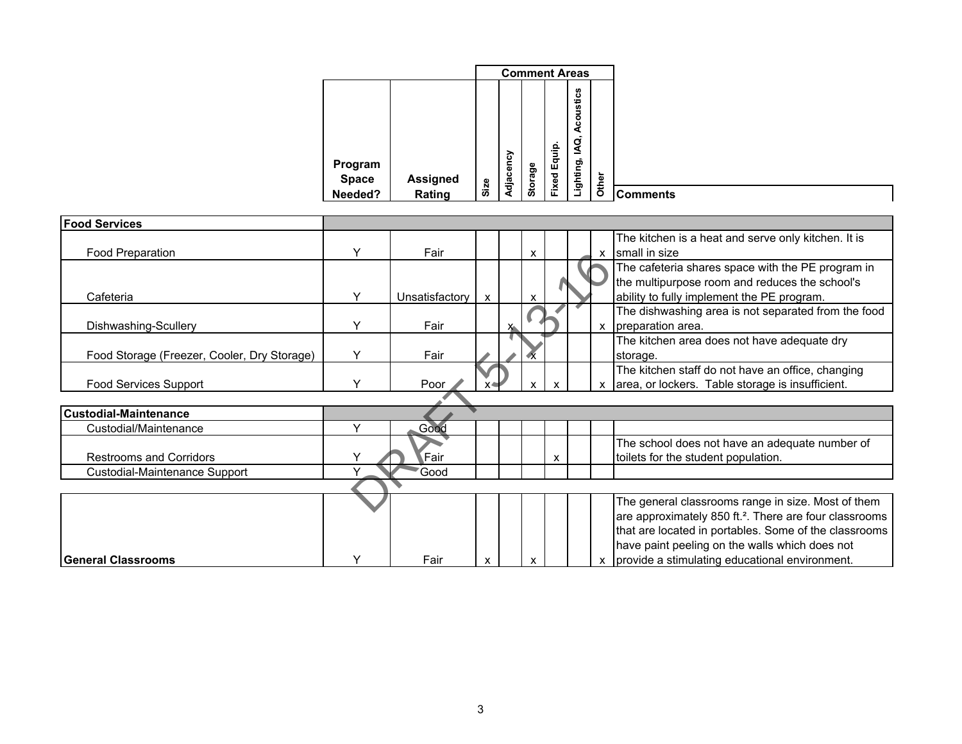| <b>Comment Areas</b>                                  |       |                         |
|-------------------------------------------------------|-------|-------------------------|
| Acoustics<br>IAQ,<br>Equip.<br>Adjacency<br>Lighting, |       | Program                 |
| Storage<br>Fixed<br><b>Assigned</b><br>Size<br>Rating | Other | <b>Space</b><br>Needed? |

| <b>Food Services</b>                        |              |                |   |   |   |              |              |                                                                    |
|---------------------------------------------|--------------|----------------|---|---|---|--------------|--------------|--------------------------------------------------------------------|
|                                             |              |                |   |   |   |              |              | The kitchen is a heat and serve only kitchen. It is                |
| Food Preparation                            | Υ            | Fair           |   |   | X |              | $\mathbf{x}$ | small in size                                                      |
|                                             |              |                |   |   |   |              |              | The cafeteria shares space with the PE program in                  |
|                                             |              |                |   |   |   |              |              | the multipurpose room and reduces the school's                     |
| Cafeteria                                   | Y            | Unsatisfactory | X |   | X |              |              | ability to fully implement the PE program.                         |
|                                             |              |                |   |   |   |              |              | The dishwashing area is not separated from the food                |
| Dishwashing-Scullery                        | $\checkmark$ | Fair           |   | X |   |              | X            | preparation area.                                                  |
|                                             |              |                |   |   |   |              |              | The kitchen area does not have adequate dry                        |
| Food Storage (Freezer, Cooler, Dry Storage) | $\checkmark$ | Fair           |   |   |   |              |              | storage.                                                           |
|                                             |              |                |   |   |   |              |              | The kitchen staff do not have an office, changing                  |
| <b>Food Services Support</b>                | $\checkmark$ | Poor           |   |   | X | $\mathbf{x}$ | X            | area, or lockers. Table storage is insufficient.                   |
|                                             |              |                |   |   |   |              |              |                                                                    |
| lCustodial-Maintenance                      |              |                |   |   |   |              |              |                                                                    |
| Custodial/Maintenance                       |              | Good           |   |   |   |              |              |                                                                    |
|                                             |              |                |   |   |   |              |              | The school does not have an adequate number of                     |
| <b>Restrooms and Corridors</b>              |              | ⊾Fair          |   |   |   | X            |              | toilets for the student population.                                |
| Custodial-Maintenance Support               |              | Good           |   |   |   |              |              |                                                                    |
|                                             |              |                |   |   |   |              |              |                                                                    |
|                                             |              |                |   |   |   |              |              | The general classrooms range in size. Most of them                 |
|                                             |              |                |   |   |   |              |              | are approximately 850 ft. <sup>2</sup> . There are four classrooms |
|                                             |              |                |   |   |   |              |              | that are located in portables. Some of the classrooms              |
|                                             |              |                |   |   |   |              |              | have paint peeling on the walls which does not                     |
| <b>General Classrooms</b>                   | $\checkmark$ | Fair           | X |   | X |              |              | provide a stimulating educational environment.                     |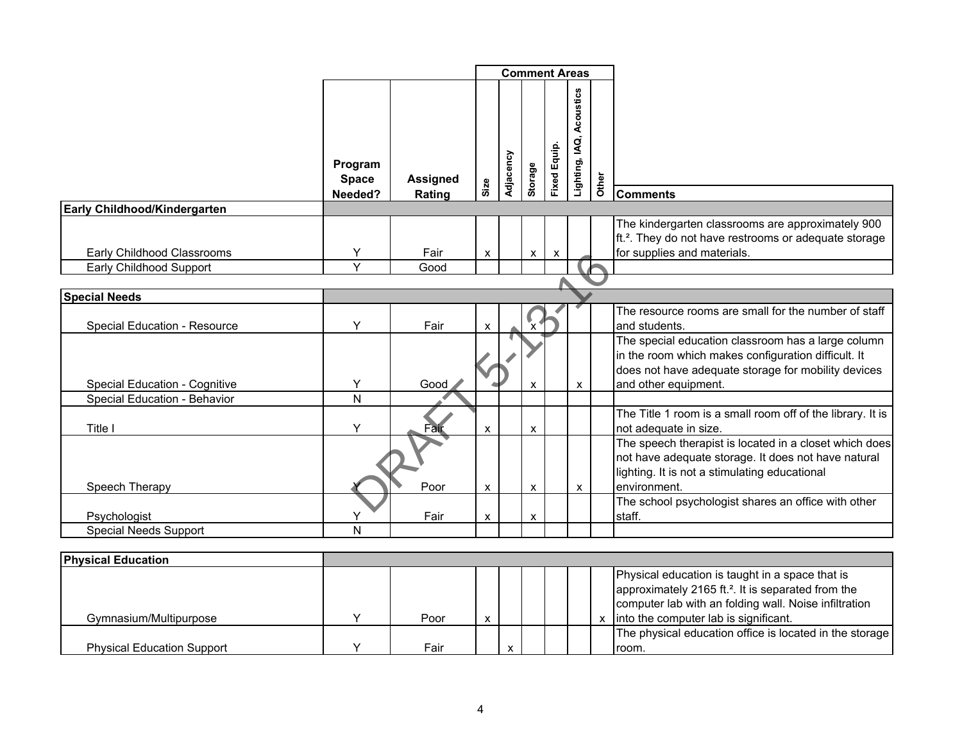|                                     |                                    |                           | <b>Comment Areas</b> |           |                           |                           |                             |       |                                                                                                                                                                                                                       |
|-------------------------------------|------------------------------------|---------------------------|----------------------|-----------|---------------------------|---------------------------|-----------------------------|-------|-----------------------------------------------------------------------------------------------------------------------------------------------------------------------------------------------------------------------|
|                                     | Program<br><b>Space</b><br>Needed? | <b>Assigned</b><br>Rating | Size                 | Adjacency | Storage                   | Fixed Equip.              | Acoustics<br>Lighting, IAQ, | Other | <b>Comments</b>                                                                                                                                                                                                       |
| Early Childhood/Kindergarten        |                                    |                           |                      |           |                           |                           |                             |       |                                                                                                                                                                                                                       |
| Early Childhood Classrooms          | Y                                  | Fair                      | X                    |           | $\mathsf{x}$              | $\boldsymbol{\mathsf{x}}$ |                             |       | The kindergarten classrooms are approximately 900<br>ft. <sup>2</sup> . They do not have restrooms or adequate storage<br>for supplies and materials.                                                                 |
| Early Childhood Support             | $\vee$                             | Good                      |                      |           |                           |                           |                             |       |                                                                                                                                                                                                                       |
|                                     |                                    |                           |                      |           |                           |                           |                             |       |                                                                                                                                                                                                                       |
| <b>Special Needs</b>                |                                    |                           |                      |           |                           |                           |                             |       |                                                                                                                                                                                                                       |
| Special Education - Resource        | Y                                  | Fair                      | $\pmb{\times}$       |           | $\mathbf{L}_{\mathbf{X}}$ |                           |                             |       | The resource rooms are small for the number of staff<br>and students.                                                                                                                                                 |
| Special Education - Cognitive       | Y                                  | Good                      |                      |           | X                         |                           | X                           |       | The special education classroom has a large column<br>in the room which makes configuration difficult. It<br>does not have adequate storage for mobility devices<br>and other equipment.                              |
| <b>Special Education - Behavior</b> | N                                  |                           |                      |           |                           |                           |                             |       |                                                                                                                                                                                                                       |
| Title I                             | Y                                  | Fair                      | $\pmb{\mathsf{x}}$   |           | $\mathsf{x}$              |                           |                             |       | The Title 1 room is a small room off of the library. It is<br>not adequate in size.                                                                                                                                   |
| Speech Therapy                      |                                    | Poor                      | $\pmb{\mathsf{X}}$   |           | X                         |                           | X                           |       | The speech therapist is located in a closet which does<br>not have adequate storage. It does not have natural<br>lighting. It is not a stimulating educational<br>environment.                                        |
|                                     |                                    |                           |                      |           |                           |                           |                             |       | The school psychologist shares an office with other                                                                                                                                                                   |
| Psychologist                        | Υ                                  | Fair                      | $\pmb{\mathsf{x}}$   |           | $\pmb{\mathsf{x}}$        |                           |                             |       | staff.                                                                                                                                                                                                                |
| <b>Special Needs Support</b>        | N                                  |                           |                      |           |                           |                           |                             |       |                                                                                                                                                                                                                       |
|                                     |                                    |                           |                      |           |                           |                           |                             |       |                                                                                                                                                                                                                       |
| <b>Physical Education</b>           |                                    |                           |                      |           |                           |                           |                             |       |                                                                                                                                                                                                                       |
| Gymnasium/Multipurpose              | Y                                  | Poor                      | $\pmb{\mathsf{x}}$   |           |                           |                           |                             |       | Physical education is taught in a space that is<br>approximately 2165 ft. <sup>2</sup> . It is separated from the<br>computer lab with an folding wall. Noise infiltration<br>x into the computer lab is significant. |
|                                     |                                    |                           |                      |           |                           |                           |                             |       | The physical education office is located in the storage                                                                                                                                                               |
| <b>Physical Education Support</b>   | Y                                  | Fair                      |                      | X         |                           |                           |                             |       | room.                                                                                                                                                                                                                 |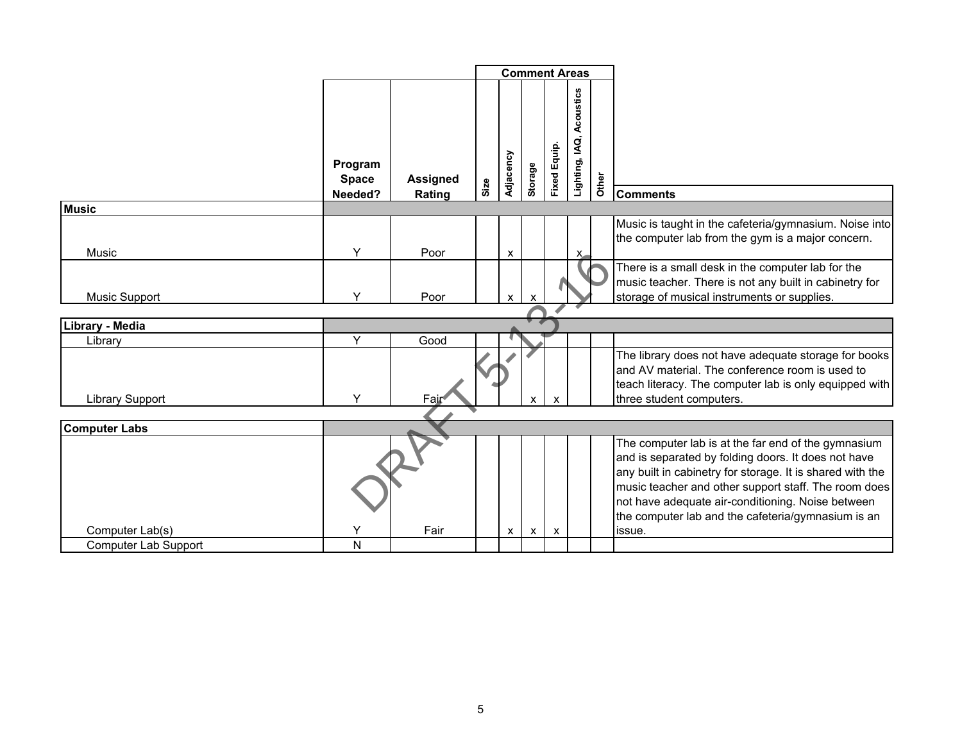|                                                |                                    |                           | <b>Comment Areas</b> |                           |              |                           |                          |       |                                                                                                                                                                                                                                                                                                                                                      |
|------------------------------------------------|------------------------------------|---------------------------|----------------------|---------------------------|--------------|---------------------------|--------------------------|-------|------------------------------------------------------------------------------------------------------------------------------------------------------------------------------------------------------------------------------------------------------------------------------------------------------------------------------------------------------|
|                                                | Program<br><b>Space</b><br>Needed? | <b>Assigned</b><br>Rating | Size                 | Adjacency                 | Storage      | <b>Fixed Equip.</b>       | Lighting, IAQ, Acoustics | Other | <b>Comments</b>                                                                                                                                                                                                                                                                                                                                      |
| <b>Music</b>                                   |                                    |                           |                      |                           |              |                           |                          |       |                                                                                                                                                                                                                                                                                                                                                      |
| Music                                          | Y                                  | Poor                      |                      | $\boldsymbol{\mathsf{x}}$ |              |                           | x                        |       | Music is taught in the cafeteria/gymnasium. Noise into<br>the computer lab from the gym is a major concern.                                                                                                                                                                                                                                          |
| <b>Music Support</b>                           | Υ                                  | Poor                      |                      | $\pmb{\chi}$              | X            |                           |                          |       | There is a small desk in the computer lab for the<br>music teacher. There is not any built in cabinetry for<br>storage of musical instruments or supplies.                                                                                                                                                                                           |
|                                                |                                    |                           |                      |                           |              |                           |                          |       |                                                                                                                                                                                                                                                                                                                                                      |
| Library - Media                                |                                    |                           |                      |                           |              |                           |                          |       |                                                                                                                                                                                                                                                                                                                                                      |
| Library                                        | Y                                  | Good                      |                      |                           |              |                           |                          |       |                                                                                                                                                                                                                                                                                                                                                      |
| <b>Library Support</b>                         | Υ                                  | Fair                      |                      |                           | X            | $\boldsymbol{\mathsf{x}}$ |                          |       | The library does not have adequate storage for books<br>and AV material. The conference room is used to<br>teach literacy. The computer lab is only equipped with<br>three student computers.                                                                                                                                                        |
|                                                |                                    |                           |                      |                           |              |                           |                          |       |                                                                                                                                                                                                                                                                                                                                                      |
| <b>Computer Labs</b>                           |                                    |                           |                      |                           |              |                           |                          |       |                                                                                                                                                                                                                                                                                                                                                      |
| Computer Lab(s)<br><b>Computer Lab Support</b> | Y<br>N                             | Fair                      |                      | X                         | $\mathsf{X}$ | X                         |                          |       | The computer lab is at the far end of the gymnasium<br>and is separated by folding doors. It does not have<br>any built in cabinetry for storage. It is shared with the<br>music teacher and other support staff. The room does<br>not have adequate air-conditioning. Noise between<br>the computer lab and the cafeteria/gymnasium is an<br>issue. |